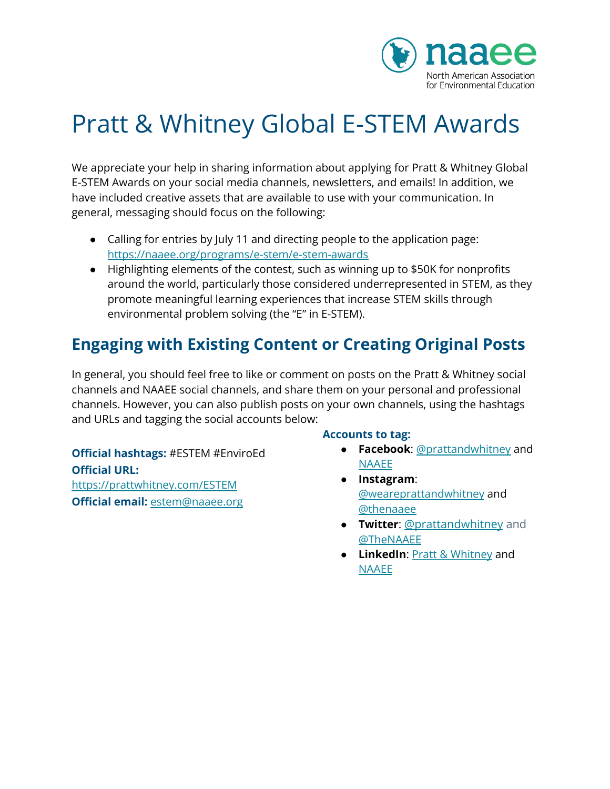

# Pratt & Whitney Global E-STEM Awards

We appreciate your help in sharing information about applying for Pratt & Whitney Global E-STEM Awards on your social media channels, newsletters, and emails! In addition, we have included creative assets that are available to use with your communication. In general, messaging should focus on the following:

- Calling for entries by July 11 and directing people to the application page: <https://naaee.org/programs/e-stem/e-stem-awards>
- Highlighting elements of the contest, such as winning up to \$50K for nonprofits around the world, particularly those considered underrepresented in STEM, as they promote meaningful learning experiences that increase STEM skills through environmental problem solving (the "E" in E-STEM).

# **Engaging with Existing Content or Creating Original Posts**

In general, you should feel free to like or comment on posts on the Pratt & Whitney social channels and NAAEE social channels, and share them on your personal and professional channels. However, you can also publish posts on your own channels, using the hashtags and URLs and tagging the social accounts below:

**Official hashtags:** #ESTEM #EnviroEd **Official URL:** <https://prattwhitney.com/ESTEM> **Official email:** [estem@naaee.org](mailto:estem@naaee.org)

#### **Accounts to tag:**

- **Facebook**: [@prattandwhitney](https://www.facebook.com/prattandwhitney) and [NAAEE](https://www.facebook.com/TheNAAEE/)
- **Instagram**: [@weareprattandwhitney](https://www.instagram.com/weareprattandwhitney/) and [@thenaaee](https://www.instagram.com/thenaaee/)
- **Twitter**: [@prattandwhitney](https://twitter.com/prattandwhitney) and [@TheNAAEE](https://twitter.com/TheNAAEE)
- **LinkedIn**: Pratt & [Whitney](https://www.linkedin.com/company/pratt-&-whitney/) and [NAAEE](https://www.linkedin.com/company/naaee)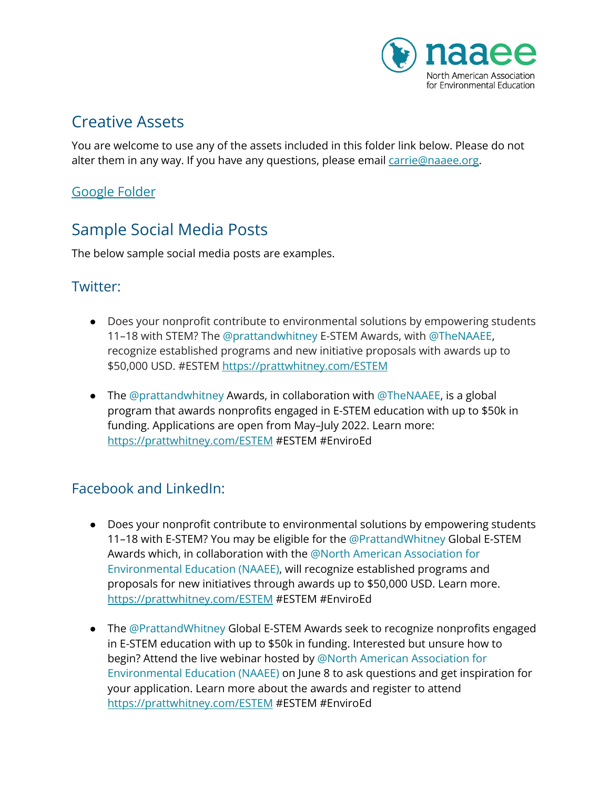

## Creative Assets

You are welcome to use any of the assets included in this folder link below. Please do not alter them in any way. If you have any questions, please email [carrie@naaee.org.](mailto:carrie@naaee.org)

#### [Google](https://drive.google.com/drive/folders/1YT2lbNplvczBpJan0wfhYkhSnLXT61Y7) Folder

# Sample Social Media Posts

The below sample social media posts are examples.

#### Twitter:

- Does your nonprofit contribute to environmental solutions by empowering students 11–18 with STEM? The @prattandwhitney E-STEM Awards, with @TheNAAEE, recognize established programs and new initiative proposals with awards up to \$50,000 USD. #ESTEM <https://prattwhitney.com/ESTEM>
- The  $@prattandwhitney$  Awards, in collaboration with  $@TheNAAEE$ , is a global program that awards nonprofits engaged in E-STEM education with up to \$50k in funding. Applications are open from May–July 2022. Learn more: <https://prattwhitney.com/ESTEM> #ESTEM #EnviroEd

## Facebook and LinkedIn:

- Does your nonprofit contribute to environmental solutions by empowering students 11–18 with E-STEM? You may be eligible for the @PrattandWhitney Global E-STEM Awards which, in collaboration with the @North American Association for Environmental Education (NAAEE), will recognize established programs and proposals for new initiatives through awards up to \$50,000 USD. Learn more. <https://prattwhitney.com/ESTEM> #ESTEM #EnviroEd
- The @PrattandWhitney Global E-STEM Awards seek to recognize nonprofits engaged in E-STEM education with up to \$50k in funding. Interested but unsure how to begin? Attend the live webinar hosted by @North American Association for Environmental Education (NAAEE) on June 8 to ask questions and get inspiration for your application. Learn more about the awards and register to attend <https://prattwhitney.com/ESTEM> #ESTEM #EnviroEd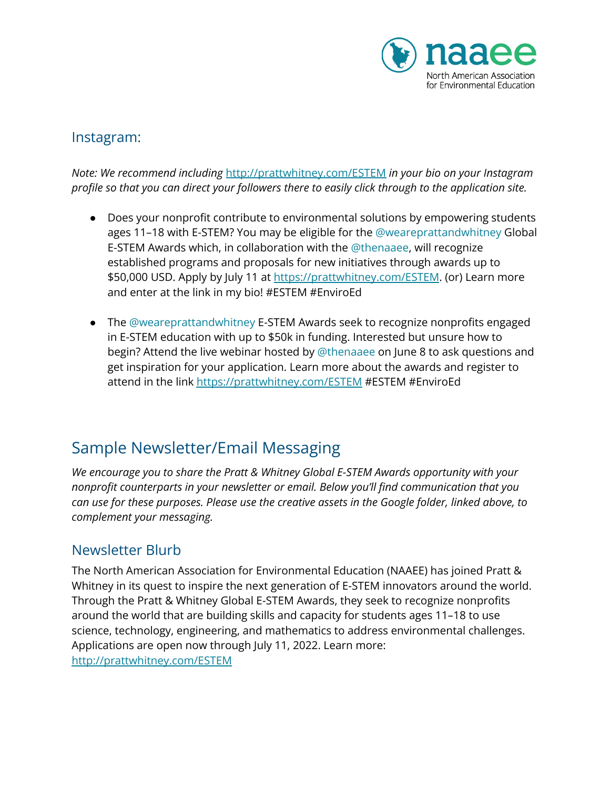

#### Instagram:

*Note: We recommend including* <http://prattwhitney.com/ESTEM> *in your bio on your Instagram profile so that you can direct your followers there to easily click through to the application site.*

- Does your nonprofit contribute to environmental solutions by empowering students ages 11–18 with E-STEM? You may be eligible for the @weareprattandwhitney Global E-STEM Awards which, in collaboration with the @thenaaee, will recognize established programs and proposals for new initiatives through awards up to \$50,000 USD. Apply by July 11 at <https://prattwhitney.com/ESTEM>. (or) Learn more and enter at the link in my bio! #ESTEM #EnviroEd
- The @weareprattandwhitney E-STEM Awards seek to recognize nonprofits engaged in E-STEM education with up to \$50k in funding. Interested but unsure how to begin? Attend the live webinar hosted by @thenaaee on June 8 to ask questions and get inspiration for your application. Learn more about the awards and register to attend in the link <https://prattwhitney.com/ESTEM> #ESTEM #EnviroEd

# Sample Newsletter/Email Messaging

*We encourage you to share the Pratt & Whitney Global E-STEM Awards opportunity with your nonprofit counterparts in your newsletter or email. Below you'll find communication that you can use for these purposes. Please use the creative assets in the Google folder, linked above, to complement your messaging.*

## Newsletter Blurb

The North American Association for Environmental Education (NAAEE) has joined Pratt & Whitney in its quest to inspire the next generation of E-STEM innovators around the world. Through the Pratt & Whitney Global E-STEM Awards, they seek to recognize nonprofits around the world that are building skills and capacity for students ages 11–18 to use science, technology, engineering, and mathematics to address environmental challenges. Applications are open now through July 11, 2022. Learn more: <http://prattwhitney.com/ESTEM>